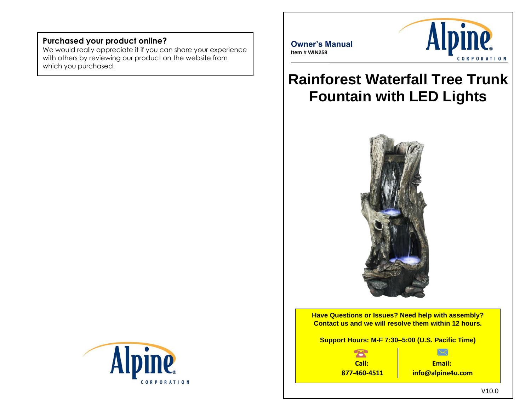### **Purchased your product online?**

We would really appreciate it if you can share your experience with others by reviewing our product on the website from which you purchased.



 $\overline{a}$ 



# **Rainforest Waterfall Tree Trunk Fountain with LED Lights**



**Have Questions or Issues? Need help with assembly? Contact us and we will resolve them within 12 hours.**

**Support Hours: M-F 7:30–5:00 (U.S. Pacific Time)**

 $\overline{\mathbf{R}}$ **Call: 877-460-4511**

**Email: info@alpine4u.com**

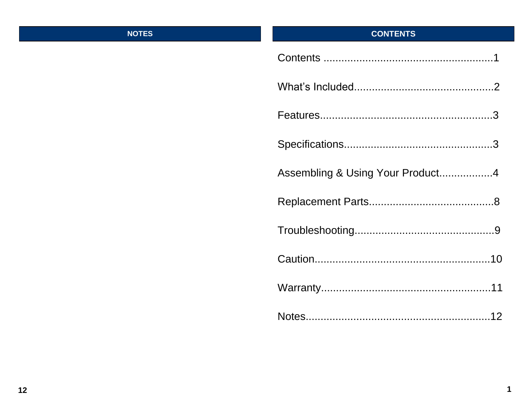### **NOTES**

## **CONTENTS**

| Assembling & Using Your Product4 |
|----------------------------------|
|                                  |
|                                  |
|                                  |
|                                  |
|                                  |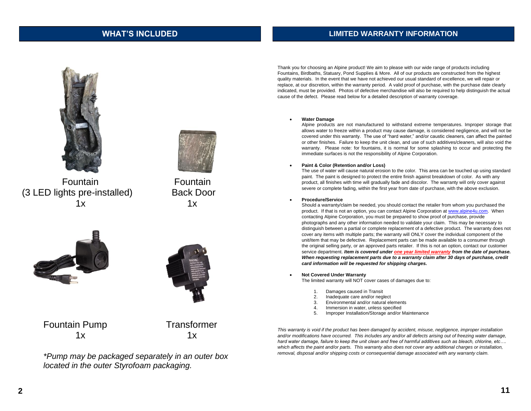### **WHAT'S INCLUDED**

### **LIMITED WARRANTY INFORMATION**





Fountain Fountain (3 LED lights pre-installed) Back Door  $1x$   $1x$ 





Fountain Pump Transformer  $1x$   $1x$ 



*\*Pump may be packaged separately in an outer box located in the outer Styrofoam packaging.*

Thank you for choosing an Alpine product! We aim to please with our wide range of products including Fountains, Birdbaths, Statuary, Pond Supplies & More. All of our products are constructed from the highest quality materials. In the event that we have not achieved our usual standard of excellence, we will repair or replace, at our discretion, within the warranty period. A valid proof of purchase, with the purchase date clearly indicated, must be provided. Photos of defective merchandise will also be required to help distinguish the actual cause of the defect. Please read below for a detailed description of warranty coverage.

### • **Water Damage**

Alpine products are not manufactured to withstand extreme temperatures. Improper storage that allows water to freeze within a product may cause damage, is considered negligence, and will not be covered under this warranty. The use of "hard water," and/or caustic cleaners, can affect the painted or other finishes. Failure to keep the unit clean, and use of such additives/cleaners, will also void the warranty. Please note: for fountains, it is normal for some splashing to occur and protecting the immediate surfaces is not the responsibility of Alpine Corporation.

### • **Paint & Color (Retention and/or Loss)**

The use of water will cause natural erosion to the color. This area can be touched up using standard paint. The paint is designed to protect the entire finish against breakdown of color. As with any product, all finishes with time will gradually fade and discolor. The warranty will only cover against severe or complete fading, within the first year from date of purchase, with the above exclusion.

### • **Procedure/Service**

Should a warranty/claim be needed, you should contact the retailer from whom you purchased the product. If that is not an option, you can contact Alpine Corporation a[t www.alpine4u.com.](http://www.alpine4u.com/) When contacting Alpine Corporation, you must be prepared to show proof of purchase, provide photographs and any other information needed to validate your claim. This may be necessary to distinguish between a partial or complete replacement of a defective product. The warranty does not cover any items with multiple parts; the warranty will ONLY cover the individual component of the unit/item that may be defective. Replacement parts can be made available to a consumer through the original selling party, or an approved parts retailer. If this is not an option, contact our customer service department. *Item is covered under one year limited warranty from the date of purchase. When requesting replacement parts due to a warranty claim after 30 days of purchase, credit card information will be requested for shipping charges.*

• **Not Covered Under Warranty** 

The limited warranty will NOT cover cases of damages due to:

- 1. Damages caused in Transit
- 2. Inadequate care and/or neglect
- 3. Environmental and/or natural elements
- 4. Immersion in water, unless specified
- 5. Improper Installation/Storage and/or Maintenance

*This warranty is void if the product has been damaged by accident, misuse, negligence, improper installation*  and/or modifications have occurred. This includes any and/or all defects arising out of freezing water damage, *hard water damage, failure to keep the unit clean and free of harmful additives such as bleach, chlorine, etc…. which affects the paint and/or parts. This warranty also does not cover any additional charges or installation, removal, disposal and/or shipping costs or consequential damage associated with any warranty claim.*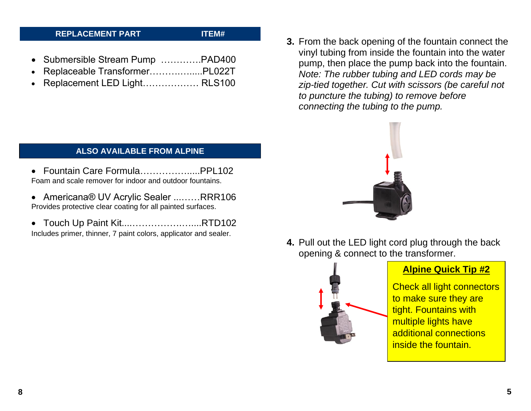### **REPLACEMENT PART ITEM#**

- Submersible Stream Pump ………….PAD400
- Replaceable Transformer……….….....PL022T
- Replacement LED Light……………… RLS100

- **ALSO AVAILABLE FROM ALPINE**
- Fountain Care Formula…………….....PPL102 Foam and scale remover for indoor and outdoor fountains.
- Americana® UV Acrylic Sealer ...……RRR106 Provides protective clear coating for all painted surfaces.
- Touch Up Paint Kit....…………….…....RTD102 Includes primer, thinner, 7 paint colors, applicator and sealer.

**3.** From the back opening of the fountain connect the vinyl tubing from inside the fountain into the water pump, then place the pump back into the fountain. *Note: The rubber tubing and LED cords may be zip-tied together. Cut with scissors (be careful not to puncture the tubing) to remove before connecting the tubing to the pump.*



**4.** Pull out the LED light cord plug through the back opening & connect to the transformer.



### **Alpine Quick Tip #2**

Check all light connectors to make sure they are tight. Fountains with multiple lights have additional connections inside the fountain.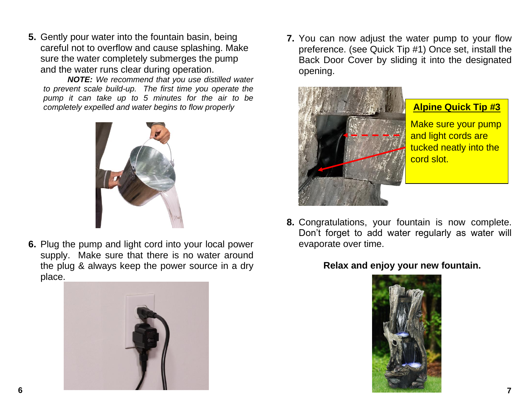**5.** Gently pour water into the fountain basin, being careful not to overflow and cause splashing. Make sure the water completely submerges the pump and the water runs clear during operation.

*NOTE: We recommend that you use distilled water to prevent scale build-up. The first time you operate the pump it can take up to 5 minutes for the air to be completely expelled and water begins to flow properly*



**6.** Plug the pump and light cord into your local power supply. Make sure that there is no water around the plug & always keep the power source in a dry place.



**7.** You can now adjust the water pump to your flow preference. (see Quick Tip #1) Once set, install the Back Door Cover by sliding it into the designated opening.



**Alpine Quick Tip #3**

Make sure your pump and light cords are tucked neatly into the cord slot.

**8.** Congratulations, your fountain is now complete. Don't forget to add water regularly as water will evaporate over time.

**Relax and enjoy your new fountain.**

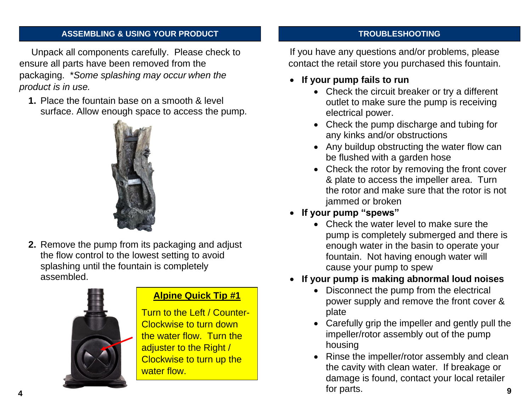### **ASSEMBLING & USING YOUR PRODUCT**

Unpack all components carefully. Please check to ensure all parts have been removed from the packaging. \**Some splashing may occur when the product is in use.* 

**1.** Place the fountain base on a smooth & level surface. Allow enough space to access the pump.



**2.** Remove the pump from its packaging and adjust the flow control to the lowest setting to avoid splashing until the fountain is completely assembled.



## **Alpine Quick Tip #1**

Turn to the Left / Counter-Clockwise to turn down the water flow. Turn the adjuster to the Right / Clockwise to turn up the water flow.

### **TROUBLESHOOTING**

If you have any questions and/or problems, please contact the retail store you purchased this fountain.

- **If your pump fails to run**
	- Check the circuit breaker or try a different outlet to make sure the pump is receiving electrical power.
	- Check the pump discharge and tubing for any kinks and/or obstructions
	- Any buildup obstructing the water flow can be flushed with a garden hose
	- Check the rotor by removing the front cover & plate to access the impeller area. Turn the rotor and make sure that the rotor is not jammed or broken
- **If your pump "spews"** 
	- Check the water level to make sure the pump is completely submerged and there is enough water in the basin to operate your fountain. Not having enough water will cause your pump to spew
- **If your pump is making abnormal loud noises**
	- Disconnect the pump from the electrical power supply and remove the front cover & plate
	- Carefully grip the impeller and gently pull the impeller/rotor assembly out of the pump housing
- Rinse the impeller/rotor assembly and clean the cavity with clean water. If breakage or damage is found, contact your local retailer for parts. **9 4**